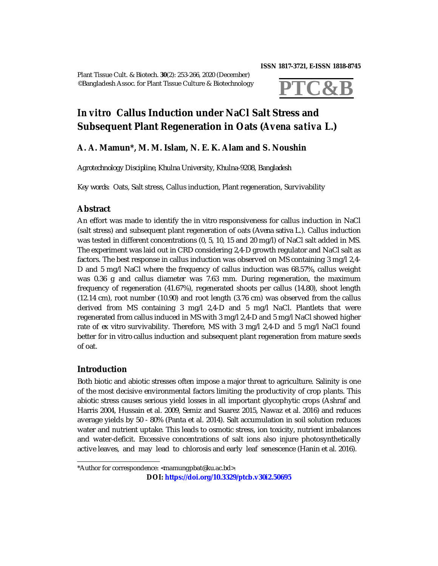Plant Tissue Cult. & Biotech. **30**(2): 253-266, 2020 (December) ©Bangladesh Assoc. for Plant Tissue Culture & Biotechnology **PTC&B**



# *In vitro* **Callus Induction under NaCl Salt Stress and Subsequent Plant Regeneration in Oats (***Avena sativa* **L.)**

# **A. A. Mamun\*, M. M. Islam, N. E. K. Alam and S. Noushin**

*Agrotechnology Discipline, Khulna University, Khulna-9208, Bangladesh*

*Key words:* Oats, Salt stress, Callus induction, Plant regeneration, Survivability

# **Abstract**

An effort was made to identify the *in vitro* responsiveness for callus induction in NaCl (salt stress) and subsequent plant regeneration of oats (*Avena sativa* L.). Callus induction was tested in different concentrations (0, 5, 10, 15 and 20 mg/l) of NaCl salt added in MS. The experiment was laid out in CRD considering 2,4-D growth regulator and NaCl salt as factors. The best response in callus induction was observed on MS containing 3 mg/l 2,4- D and 5 mg/l NaCl where the frequency of callus induction was 68.57%, callus weight was 0.36 g and callus diameter was 7.63 mm. During regeneration, the maximum frequency of regeneration (41.67%), regenerated shoots per callus (14.80), shoot length (12.14 cm), root number (10.90) and root length (3.76 cm) was observed from the callus derived from MS containing 3 mg/l 2,4-D and 5 mg/l NaCl. Plantlets that were regenerated from callus induced in MS with 3 mg/l 2,4-D and 5 mg/l NaCl showed higher rate of *ex vitro* survivability. Therefore, MS with 3 mg/l 2,4-D and 5 mg/l NaCl found better for *in vitro* callus induction and subsequent plant regeneration from mature seeds of oat.

# **Introduction**

Both biotic and abiotic stresses often impose a major threat to agriculture. Salinity is one of the most decisive environmental factors limiting the productivity of crop plants. This abiotic stress causes serious yield losses in all important glycophytic crops (Ashraf and Harris 2004, Hussain et al. 2009, Semiz and Suarez 2015, Nawaz et al. 2016) and reduces average yields by 50 - 80% (Panta et al. 2014). Salt accumulation in soil solution reduces water and nutrient uptake. This leads to osmotic stress, ion toxicity, nutrient imbalances and water‐deficit. Excessive concentrations of salt ions also injure photosynthetically active leaves, and may lead to chlorosis and early leaf senescence (Hanin et al. 2016).

**DOI: <https://doi.org/10.3329/ptcb.v30i2.50695>**

<sup>\*</sup>Author for correspondence: <[mamungpbat@ku.ac.bd>](mailto:mamungpbat@ku.ac.bd).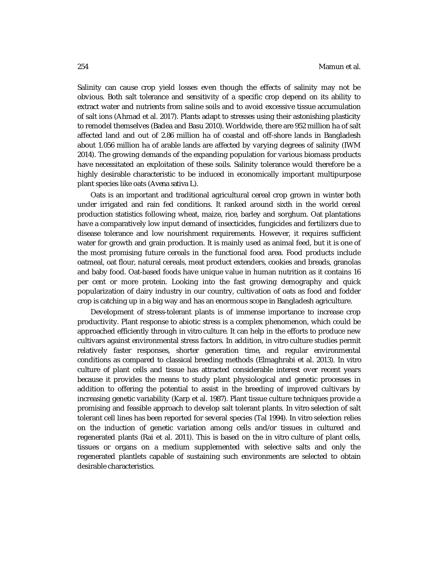Salinity can cause crop yield losses even though the effects of salinity may not be obvious. Both salt tolerance and sensitivity of a specific crop depend on its ability to extract water and nutrients from saline soils and to avoid excessive tissue accumulation of salt ions (Ahmad et al. 2017). Plants adapt to stresses using their astonishing plasticity to remodel themselves (Badea and Basu 2010). Worldwide, there are 952 million ha of salt affected land and out of 2.86 million ha of coastal and off-shore lands in Bangladesh about 1.056 million ha of arable lands are affected by varying degrees of salinity (IWM 2014). The growing demands of the expanding population for various biomass products have necessitated an exploitation of these soils. Salinity tolerance would therefore be a highly desirable characteristic to be induced in economically important multipurpose plant species like oats (*Avena sativa* L).

Oats is an important and traditional agricultural cereal crop grown in winter both under irrigated and rain fed conditions. It ranked around sixth in the world cereal production statistics following wheat, maize, rice, barley and sorghum. Oat plantations have a comparatively low input demand of insecticides, fungicides and fertilizers due to disease tolerance and low nourishment requirements. However, it requires sufficient water for growth and grain production. It is mainly used as animal feed, but it is one of the most promising future cereals in the functional food area. Food products include oatmeal, oat flour, natural cereals, meat product extenders, cookies and breads, granolas and baby food. Oat-based foods have unique value in human nutrition as it contains 16 per cent or more protein. Looking into the fast growing demography and quick popularization of dairy industry in our country, cultivation of oats as food and fodder crop is catching up in a big way and has an enormous scope in Bangladesh agriculture.

Development of stress-tolerant plants is of immense importance to increase crop productivity. Plant response to abiotic stress is a complex phenomenon, which could be approached efficiently through *in vitro* culture. It can help in the efforts to produce new cultivars against environmental stress factors. In addition, *in vitro* culture studies permit relatively faster responses, shorter generation time, and regular environmental conditions as compared to classical breeding methods (Elmaghrabi et al. 2013). *In vitro*  culture of plant cells and tissue has attracted considerable interest over recent years because it provides the means to study plant physiological and genetic processes in addition to offering the potential to assist in the breeding of improved cultivars by increasing genetic variability (Karp et al. 1987). Plant tissue culture techniques provide a promising and feasible approach to develop salt tolerant plants. *In vitro* selection of salt tolerant cell lines has been reported for several species (Tal 1994). *In vitro* selection relies on the induction of genetic variation among cells and/or tissues in cultured and regenerated plants (Rai et al. 2011). This is based on the *in vitro* culture of plant cells, tissues or organs on a medium supplemented with selective salts and only the regenerated plantlets capable of sustaining such environments are selected to obtain desirable characteristics.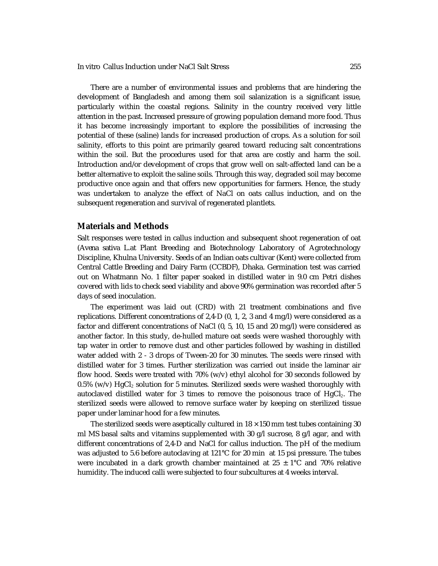There are a number of environmental issues and problems that are hindering the development of Bangladesh and among them soil salanization is a significant issue, particularly within the coastal regions. Salinity in the country received very little attention in the past. Increased pressure of growing population demand more food. Thus it has become increasingly important to explore the possibilities of increasing the potential of these (saline) lands for increased production of crops. As a solution for soil salinity, efforts to this point are primarily geared toward reducing salt concentrations within the soil. But the procedures used for that area are costly and harm the soil. Introduction and/or development of crops that grow well on salt-affected land can be a better alternative to exploit the saline soils. Through this way, degraded soil may become productive once again and that offers new opportunities for farmers. Hence, the study was undertaken to analyze the effect of NaCl on oats callus induction, and on the subsequent regeneration and survival of regenerated plantlets.

#### **Materials and Methods**

Salt responses were tested in callus induction and subsequent shoot regeneration of oat (*Avena sativa* L.at Plant Breeding and Biotechnology Laboratory of Agrotechnology Discipline, Khulna University. Seeds of an Indian oats cultivar (Kent) were collected from Central Cattle Breeding and Dairy Farm (CCBDF), Dhaka. Germination test was carried out on Whatmann No. 1 filter paper soaked in distilled water in 9.0 cm Petri dishes covered with lids to check seed viability and above 90% germination was recorded after 5 days of seed inoculation.

The experiment was laid out (CRD) with 21 treatment combinations and five replications. Different concentrations of 2,4-D (0, 1, 2, 3 and 4 mg/l) were considered as a factor and different concentrations of NaCl (0, 5, 10, 15 and 20 mg/l) were considered as another factor. In this study, de-hulled mature oat seeds were washed thoroughly with tap water in order to remove dust and other particles followed by washing in distilled water added with 2 - 3 drops of Tween-20 for 30 minutes. The seeds were rinsed with distilled water for 3 times. Further sterilization was carried out inside the laminar air flow hood. Seeds were treated with 70% (w/v) ethyl alcohol for 30 seconds followed by 0.5% (w/v)  $HgCl<sub>2</sub>$  solution for 5 minutes. Sterilized seeds were washed thoroughly with autoclaved distilled water for 3 times to remove the poisonous trace of HgCl<sub>2</sub>. The sterilized seeds were allowed to remove surface water by keeping on sterilized tissue paper under laminar hood for a few minutes.

The sterilized seeds were aseptically cultured in 18 × 150 mm test tubes containing 30 ml MS basal salts and vitamins supplemented with 30 g/l sucrose, 8 g/l agar, and with different concentrations of 2,4-D and NaCl for callus induction. The pH of the medium was adjusted to 5.6 before autoclaving at 121°C for 20 min at 15 psi pressure. The tubes were incubated in a dark growth chamber maintained at  $25 \pm 1^{\circ}$ C and 70% relative humidity. The induced calli were subjected to four subcultures at 4 weeks interval.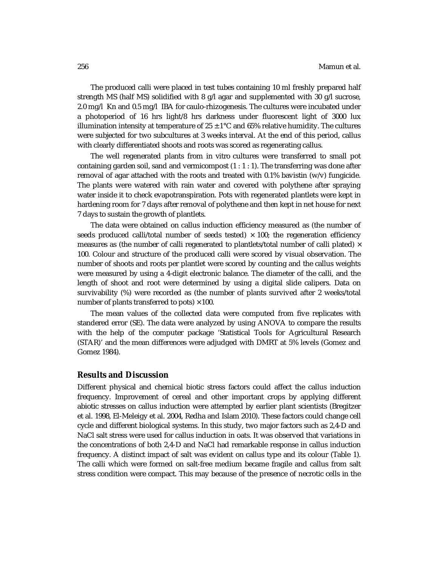The produced calli were placed in test tubes containing 10 ml freshly prepared half strength MS (half MS) solidified with 8 g/l agar and supplemented with 30 g/l sucrose, 2.0 mg/l Kn and 0.5 mg/l IBA for caulo-rhizogenesis. The cultures were incubated under a photoperiod of 16 hrs light/8 hrs darkness under fluorescent light of 3000 lux illumination intensity at temperature of  $25 \pm 1^{\circ}$ C and 65% relative humidity. The cultures were subjected for two subcultures at 3 weeks interval. At the end of this period, callus with clearly differentiated shoots and roots was scored as regenerating callus.

The well regenerated plants from *in vitro* cultures were transferred to small pot containing garden soil, sand and vermicompost  $(1:1:1)$ . The transferring was done after removal of agar attached with the roots and treated with 0.1% bavistin (w/v) fungicide. The plants were watered with rain water and covered with polythene after spraying water inside it to check evapotranspiration. Pots with regenerated plantlets were kept in hardening room for 7 days after removal of polythene and then kept in net house for next 7 days to sustain the growth of plantlets.

The data were obtained on callus induction efficiency measured as (the number of seeds produced calli/total number of seeds tested)  $\times$  100; the regeneration efficiency measures as (the number of calli regenerated to plantiets/total number of calli plated)  $\times$ 100. Colour and structure of the produced calli were scored by visual observation. The number of shoots and roots per plantlet were scored by counting and the callus weights were measured by using a 4-digit electronic balance. The diameter of the calli, and the length of shoot and root were determined by using a digital slide calipers. Data on survivability (%) were recorded as (the number of plants survived after 2 weeks/total number of plants transferred to pots)  $\times$  100.

The mean values of the collected data were computed from five replicates with standered error (SE). The data were analyzed by using ANOVA to compare the results with the help of the computer package 'Statistical Tools for Agricultural Research (STAR)' and the mean differences were adjudged with DMRT at 5% levels (Gomez and Gomez 1984).

### **Results and Discussion**

Different physical and chemical biotic stress factors could affect the callus induction frequency. Improvement of cereal and other important crops by applying different abiotic stresses on callus induction were attempted by earlier plant scientists (Bregitzer et al. 1998, El-Meleigy et al. 2004, Redha and Islam 2010). These factors could change cell cycle and different biological systems. In this study, two major factors such as 2,4-D and NaCl salt stress were used for callus induction in oats. It was observed that variations in the concentrations of both 2,4-D and NaCl had remarkable response in callus induction frequency. A distinct impact of salt was evident on callus type and its colour (Table 1). The calli which were formed on salt-free medium became fragile and callus from salt stress condition were compact. This may because of the presence of necrotic cells in the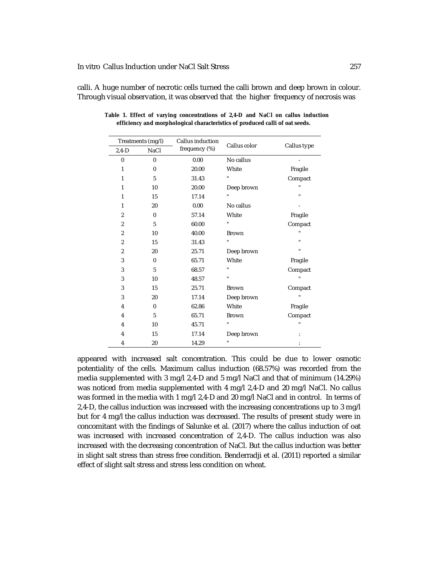calli. A huge number of necrotic cells turned the calli brown and deep brown in colour. Through visual observation, it was observed that the higher frequency of necrosis was

| Treatments (mg/l) |              | Callus induction | Callus color |                |  |
|-------------------|--------------|------------------|--------------|----------------|--|
| $2,4-D$           | <b>NaCl</b>  | frequency (%)    |              | Callus type    |  |
| $\mathbf 0$       | 0            | 0.00             | No callus    |                |  |
| 1                 | 0            | 20.00            | White        | Fragile        |  |
| 1                 | 5            | 31.43            | n,           | Compact        |  |
| 1                 | 10           | 20.00            | Deep brown   | $\blacksquare$ |  |
| 1                 | 15           | 17.14            | n,           | $\blacksquare$ |  |
| 1                 | 20           | 0.00             | No callus    |                |  |
| 2                 | 0            | 57.14            | White        | Fragile        |  |
| $\overline{2}$    | 5            | 60.00            | n,           | Compact        |  |
| 2                 | 10           | 40.00            | <b>Brown</b> | $\blacksquare$ |  |
| $\overline{2}$    | 15           | 31.43            | $\mathbf{u}$ | n              |  |
| $\overline{2}$    | 20           | 25.71            | Deep brown   | п              |  |
| 3                 | $\mathbf{0}$ | 65.71            | White        | Fragile        |  |
| 3                 | 5            | 68.57            | Ĥ.           | Compact        |  |
| 3                 | 10           | 48.57            | n,           | n              |  |
| 3                 | 15           | 25.71            | Brown        | Compact        |  |
| 3                 | 20           | 17.14            | Deep brown   | Ħ              |  |
| 4                 | 0            | 62.86            | White        | Fragile        |  |
| 4                 | 5            | 65.71            | <b>Brown</b> | Compact        |  |
| 4                 | 10           | 45.71            | n            | п              |  |
| 4                 | 15           | 17.14            | Deep brown   |                |  |
| 4                 | 20           | 14.29            | п            |                |  |

**Table 1. Effect of varying concentrations of 2,4-D and NaCl on callus induction efficiency and morphological characteristics of produced calli of oat seeds.**

appeared with increased salt concentration. This could be due to lower osmotic potentiality of the cells. Maximum callus induction (68.57%) was recorded from the media supplemented with 3 mg/l 2,4-D and 5 mg/l NaCl and that of minimum (14.29%) was noticed from media supplemented with 4 mg/l 2,4-D and 20 mg/l NaCl. No callus was formed in the media with 1 mg/l 2,4-D and 20 mg/l NaCl and in control. In terms of 2,4-D, the callus induction was increased with the increasing concentrations up to 3 mg/l but for 4 mg/l the callus induction was decreased. The results of present study were in concomitant with the findings of Salunke et al. (2017) where the callus induction of oat was increased with increased concentration of 2,4-D. The callus induction was also increased with the decreasing concentration of NaCl. But the callus induction was better in slight salt stress than stress free condition. Benderradji et al. (2011) reported a similar effect of slight salt stress and stress less condition on wheat.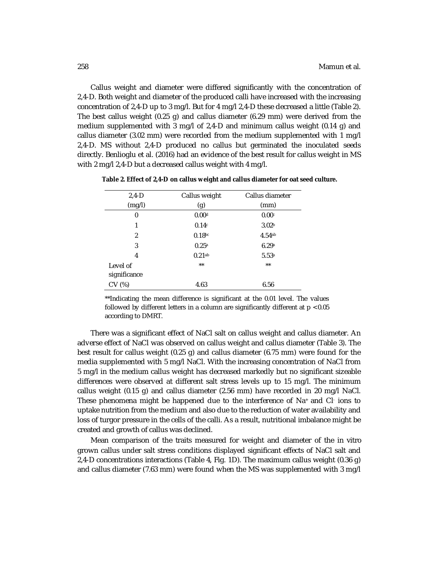Callus weight and diameter were differed significantly with the concentration of 2,4-D. Both weight and diameter of the produced calli have increased with the increasing concentration of 2,4-D up to 3 mg/l. But for 4 mg/l 2,4-D these decreased a little (Table 2). The best callus weight (0.25 g) and callus diameter (6.29 mm) were derived from the medium supplemented with 3 mg/l of 2,4-D and minimum callus weight (0.14 g) and callus diameter (3.02 mm) were recorded from the medium supplemented with 1 mg/l 2,4-D. MS without 2,4-D produced no callus but germinated the inoculated seeds directly. Benlioglu et al. (2016) had an evidence of the best result for callus weight in MS with 2 mg/l 2,4-D but a decreased callus weight with 4 mg/l.

| $2,4-D$      | Callus weight      | Callus diameter<br>(mm) |  |
|--------------|--------------------|-------------------------|--|
| (mg/l)       | (g)                |                         |  |
| 0            | 0.00 <sup>d</sup>  | 0.00c                   |  |
| 1            | 0.14c              | 3.02 <sup>b</sup>       |  |
| 2            | 0.18 <sub>bc</sub> | 4.54ab                  |  |
| 3            | 0.25a              | 6.29a                   |  |
| 4            | 0.21ab             | 5.53a                   |  |
| Level of     | $**$               | $**$                    |  |
| significance |                    |                         |  |
| CV (%)       | 4.63               | 6.56                    |  |

 **Table 2. Effect of 2,4-D on callus weight and callus diameter for oat seed culture.**

\*\*Indicating the mean difference is significant at the 0.01 level. The values followed by different letters in a column are significantly different at  $p < 0.05$ according to DMRT.

There was a significant effect of NaCl salt on callus weight and callus diameter. An adverse effect of NaCl was observed on callus weight and callus diameter (Table 3). The best result for callus weight (0.25 g) and callus diameter (6.75 mm) were found for the media supplemented with 5 mg/l NaCl. With the increasing concentration of NaCl from 5 mg/l in the medium callus weight has decreased markedly but no significant sizeable differences were observed at different salt stress levels up to 15 mg/l. The minimum callus weight (0.15 g) and callus diameter (2.56 mm) have recorded in 20 mg/l NaCl. These phenomena might be happened due to the interference of Na<sup>+</sup> and Cl-ions to uptake nutrition from the medium and also due to the reduction of water availability and loss of turgor pressure in the cells of the calli. As a result, nutritional imbalance might be created and growth of callus was declined.

Mean comparison of the traits measured for weight and diameter of the *in vitro* grown callus under salt stress conditions displayed significant effects of NaCl salt and 2,4-D concentrations interactions (Table 4, Fig. 1D). The maximum callus weight (0.36 g) and callus diameter (7.63 mm) were found when the MS was supplemented with 3 mg/l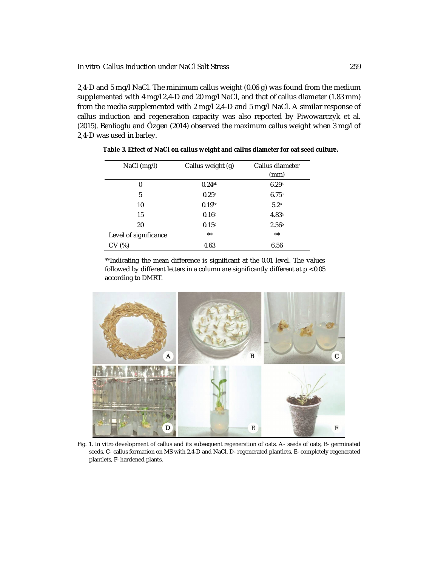2,4-D and 5 mg/l NaCl. The minimum callus weight (0.06 g) was found from the medium supplemented with 4 mg/l 2,4-D and 20 mg/l NaCl, and that of callus diameter (1.83 mm) from the media supplemented with 2 mg/l 2,4-D and 5 mg/l NaCl. A similar response of callus induction and regeneration capacity was also reported by Piwowarczyk et al. (2015). Benlioglu and Özgen (2014) observed the maximum callus weight when 3 mg/l of 2,4-D was used in barley.

| NaCI (mg/l)           | Callus weight (g)    | Callus diameter<br>(mm) |
|-----------------------|----------------------|-------------------------|
| 0                     | $0.24$ <sup>ab</sup> | 6.29a                   |
| 5                     | 0.25a                | 6.75a                   |
| 10                    | 0.19 <sub>bc</sub>   | 5.2 <sup>a</sup>        |
| 15                    | 0.16c                | 4.83 <sup>a</sup>       |
| 20                    | 0.15c                | 2.56 <sup>b</sup>       |
| Level of significance | $**$                 | $***$                   |
| CV (%)                | 4.63                 | 6.56                    |

**Table 3. Effect of NaCl on callus weight and callus diameter for oat seed culture.**

\*\*Indicating the mean difference is significant at the 0.01 level. The values followed by different letters in a column are significantly different at p < 0.05 according to DMRT.



Fig. 1. *In vitro* development of callus and its subsequent regeneration of oats. A- seeds of oats, B- germinated seeds, C- callus formation on MS with 2,4-D and NaCl, D- regenerated plantlets, E- completely regenerated plantlets, F- hardened plants.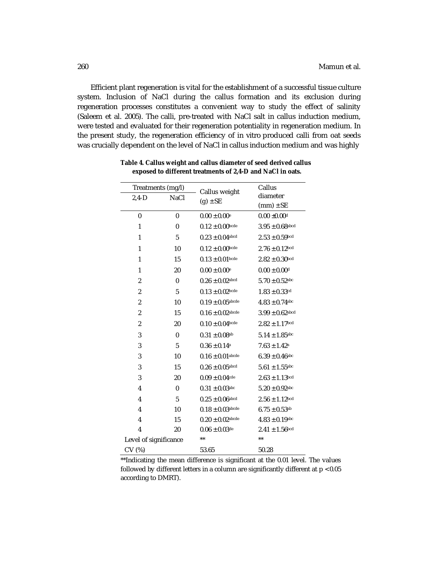Efficient plant regeneration is vital for the establishment of a successful tissue culture system. Inclusion of NaCl during the callus formation and its exclusion during regeneration processes constitutes a convenient way to study the effect of salinity (Saleem et al. 2005). The calli, pre-treated with NaCl salt in callus induction medium, were tested and evaluated for their regeneration potentiality in regeneration medium. In the present study, the regeneration efficiency of *in vitro* produced calli from oat seeds was crucially dependent on the level of NaCl in callus induction medium and was highly

| Treatments (mg/l)      |                | Callus weight                   | Callus                         |
|------------------------|----------------|---------------------------------|--------------------------------|
| $2,4-D$<br><b>NaCl</b> |                | $(g)$ ± SE                      | diameter                       |
|                        |                |                                 | $(mm) \pm SE$                  |
| 0                      | 0              | $0.00 \pm 0.00^{\circ}$         | $0.00 \pm 0.00$ <sup>d</sup>   |
| 1                      | 0              | $0.12 \pm 0.00$ bcde            | $3.95 \pm 0.68$ abcd           |
| 1                      | 5              | $0.23 \pm 0.04$ abcd            | $2.53 \pm 0.59^{bcd}$          |
| 1                      | 10             | $0.12 \pm 0.00^{\rm b cde}$     | $2.76 \pm 0.12^{bcd}$          |
| 1                      | 15             | $0.13 \pm 0.01$ <sub>bcde</sub> | $2.82 \pm 0.30$ <sub>bcd</sub> |
| 1                      | 20             | $0.00 \pm 0.00^{\circ}$         | $0.00 \pm 0.00$ <sup>d</sup>   |
| $\overline{2}$         | 0              | $0.26 \pm 0.02^{\rm abcd}$      | $5.70 \pm 0.52$ <sup>abc</sup> |
| $\overline{2}$         | 5              | $0.13 \pm 0.02$ bcde            | $1.83 \pm 0.33$ cd             |
| 2                      | 10             | $0.19 \pm 0.05$ abcde           | $4.83 \pm 0.74$ <sup>abc</sup> |
| 2                      | 15             | $0.16 \pm 0.02$ abcde           | $3.99 \pm 0.62$ abcd           |
| 2                      | 20             | $0.10 \pm 0.04$ bcde            | $2.82 \pm 1.17$ bcd            |
| 3                      | 0              | $0.31 \pm 0.08$ <sup>ab</sup>   | $5.14 \pm 1.85$ <sup>abc</sup> |
| 3                      | 5              | $0.36 \pm 0.14$ <sup>a</sup>    | $7.63 \pm 1.42$ <sup>a</sup>   |
| 3                      | 10             | $0.16 \pm 0.01$ abcde           | $6.39 \pm 0.46$ <sup>abc</sup> |
| 3                      | 15             | $0.26 \pm 0.05$ abcd            | $5.61 \pm 1.55$ <sup>abc</sup> |
| 3                      | 20             | $0.09 \pm 0.04^{\text{cde}}$    | $2.63 \pm 1.13^{bcd}$          |
| 4                      | $\overline{0}$ | $0.31 \pm 0.03^{\rm abc}$       | $5.20 \pm 0.92$ abc            |
| 4                      | 5              | $0.25 \pm 0.06^{\rm abcd}$      | $2.56 \pm 1.12^{bcd}$          |
| 4                      | 10             | $0.18 \pm 0.03$ abcde           | $6.75 \pm 0.53$ <sup>ab</sup>  |
| 4                      | 15             | $0.20 \pm 0.02$ abcde           | $4.83 \pm 0.19$ abc            |
| 4                      | 20             | $0.06 \pm 0.03$ de              | $2.41 \pm 1.56$ <sub>bcd</sub> |
| Level of significance  |                | $***$                           | $***$                          |
| CV (%)                 |                | 53.65                           | 50.28                          |

**Table 4. Callus weight and callus diameter of seed derived callus exposed to different treatments of 2,4-D and NaCl in oats.**

\*\*Indicating the mean difference is significant at the 0.01 level. The values followed by different letters in a column are significantly different at p < 0.05 according to DMRT).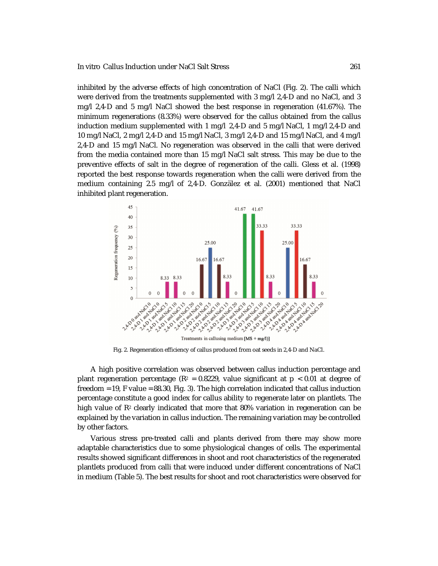inhibited by the adverse effects of high concentration of NaCl (Fig. 2). The calli which were derived from the treatments supplemented with 3 mg/l 2,4-D and no NaCl, and 3 mg/l 2,4-D and 5 mg/l NaCl showed the best response in regeneration (41.67%). The minimum regenerations (8.33%) were observed for the callus obtained from the callus induction medium supplemented with 1 mg/l 2,4-D and 5 mg/l NaCl, 1 mg/l 2,4-D and 10 mg/l NaCl, 2 mg/l 2,4-D and 15 mg/l NaCl, 3 mg/l 2,4-D and 15 mg/l NaCl, and 4 mg/l 2,4-D and 15 mg/l NaCl. No regeneration was observed in the calli that were derived from the media contained more than 15 mg/l NaCl salt stress. This may be due to the preventive effects of salt in the degree of regeneration of the calli. Gless et al. (1998) reported the best response towards regeneration when the calli were derived from the medium containing 2.5 mg/l of 2,4-D. Gonzälez et al. (2001) mentioned that NaCl inhibited plant regeneration.



Fig. 2. Regeneration efficiency of callus produced from oat seeds in 2,4-D and NaCl.

A high positive correlation was observed between callus induction percentage and plant regeneration percentage ( $R^2 = 0.8229$ , value significant at  $p < 0.01$  at degree of freedom  $= 19$ , F value  $= 88.30$ , Fig. 3). The high correlation indicated that callus induction percentage constitute a good index for callus ability to regenerate later on plantlets. The high value of  $R<sup>2</sup>$  clearly indicated that more that 80% variation in regeneration can be explained by the variation in callus induction. The remaining variation may be controlled by other factors.

Various stress pre-treated calli and plants derived from there may show more adaptable characteristics due to some physiological changes of cells. The experimental results showed significant differences in shoot and root characteristics of the regenerated plantlets produced from calli that were induced under different concentrations of NaCl in medium (Table 5). The best results for shoot and root characteristics were observed for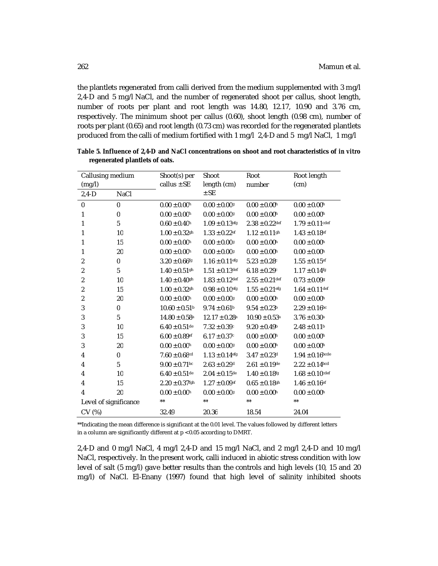the plantlets regenerated from calli derived from the medium supplemented with 3 mg/l 2,4-D and 5 mg/l NaCl, and the number of regenerated shoot per callus, shoot length, number of roots per plant and root length was 14.80, 12.17, 10.90 and 3.76 cm, respectively. The minimum shoot per callus (0.60), shoot length (0.98 cm), number of roots per plant (0.65) and root length (0.73 cm) was recorded for the regenerated plantlets produced from the calli of medium fortified with 1 mg/l 2,4-D and 5 mg/l NaCl, 1 mg/l

| Callusing medium<br>(mg/l) |                | Shoot(s) per<br>callus $\pm$ SE | Shoot<br>length (cm)          | Root<br>number                | Root length<br>(cm)           |
|----------------------------|----------------|---------------------------------|-------------------------------|-------------------------------|-------------------------------|
| $2,4-D$                    | NaCl           |                                 | $±$ SE                        |                               |                               |
| 0                          | $\mathbf{0}$   | $0.00 \pm 0.00^{\rm h}$         | $0.00 \pm 0.009$              | $0.00 \pm 0.00^{\rm h}$       | $0.00 \pm 0.00$ <sup>h</sup>  |
| 1                          | $\overline{0}$ | $0.00 \pm 0.00$ <sup>h</sup>    | $0.00 \pm 0.009$              | $0.00 \pm 0.00^h$             | $0.00 \pm 0.00$ <sup>h</sup>  |
| 1                          | 5              | $0.60 \pm 0.40$ <sup>h</sup>    | $1.09 \pm 0.13$ efg           | $2.38 \pm 0.22$ def           | $1.79 \pm 0.11^{\text{cdef}}$ |
| 1                          | 10             | $1.00 \pm 0.32$ <sup>gh</sup>   | $1.33 \pm 0.22$ ef            | $1.12 \pm 0.11$ gh            | $1.43 \pm 0.18$ ef            |
| 1                          | 15             | $0.00 \pm 0.00$ <sup>h</sup>    | $0.00 \pm 0.009$              | $0.00 \pm 0.00$ <sup>h</sup>  | $0.00 \pm 0.00$ <sup>h</sup>  |
| 1                          | 20             | $0.00 \pm 0.00$ <sup>h</sup>    | $0.00 \pm 0.009$              | $0.00 \pm 0.00^h$             | $0.00 \pm 0.00$ <sup>h</sup>  |
| 2                          | $\mathbf 0$    | $3.20 \pm 0.66$ fg              | $1.16 \pm 0.11$ efg           | $5.23 \pm 0.28$ c             | $1.55 \pm 0.15$ ef            |
| $\overline{2}$             | 5              | $1.40 \pm 0.51$ gh              | $1.51 \pm 0.13$ def           | $6.18 \pm 0.29c$              | $1.17 \pm 0.14$ fg            |
| $\overline{2}$             | 10             | $1.40 \pm 0.40$ gh              | $1.83 \pm 0.12$ def           | $2.55 \pm 0.21$ def           | $0.73 \pm 0.099$              |
| $\overline{2}$             | 15             | $1.00 \pm 0.32$ <sup>gh</sup>   | $0.98 \pm 0.10$ efg           | $1.55 \pm 0.21$ efg           | $1.64 \pm 0.11$ def           |
| $\overline{2}$             | 20             | $0.00 \pm 0.00$ <sup>h</sup>    | $0.00 \pm 0.009$              | $0.00 \pm 0.00^h$             | $0.00 \pm 0.00$ <sup>h</sup>  |
| 3                          | 0              | $10.60 \pm 0.51$ <sup>b</sup>   | $9.74 \pm 0.61$ <sup>b</sup>  | $9.54 \pm 0.23$ <sup>b</sup>  | $2.29 \pm 0.16$ bc            |
| 3                          | 5              | $14.80 \pm 0.58^{\rm a}$        | $12.17 \pm 0.28$ <sup>a</sup> | $10.90 \pm 0.53$ <sup>a</sup> | $3.76 \pm 0.30^{\rm a}$       |
| 3                          | 10             | $6.40 \pm 0.51^{\rm de}$        | $7.32 \pm 0.39^{\circ}$       | $9.20 \pm 0.49$ <sup>b</sup>  | $2.48 \pm 0.11$ <sup>b</sup>  |
| 3                          | 15             | $6.00 \pm 0.89$ ef              | $6.17 \pm 0.37$ c             | $0.00 \pm 0.00^{\rm h}$       | $0.00 \pm 0.00$ <sup>h</sup>  |
| 3                          | 20             | $0.00 \pm 0.00$ <sup>h</sup>    | $0.00 \pm 0.009$              | $0.00 \pm 0.00$ <sup>h</sup>  | $0.00 \pm 0.00^h$             |
| 4                          | $\mathbf 0$    | $7.60 \pm 0.68$ cd              | $1.13 \pm 0.14$ efg           | $3.47 \pm 0.23$ d             | $1.94 \pm 0.16^{\text{bcde}}$ |
| 4                          | 5              | $9.00 \pm 0.71$ bc              | $2.63 \pm 0.29$ d             | $2.61 \pm 0.19^{\rm de}$      | $2.22 \pm 0.14$ bcd           |
| 4                          | 10             | $6.40 \pm 0.51^{\rm de}$        | $2.04 \pm 0.15^{\text{de}}$   | $1.40 \pm 0.18$ <sup>fg</sup> | $1.68 \pm 0.10$ cdef          |
| 4                          | 15             | $2.20 \pm 0.37$ <sup>fgh</sup>  | $1.27 \pm 0.09$ ef            | $0.65 \pm 0.18$ <sup>gh</sup> | $1.46 \pm 0.16$ ef            |
| 4                          | 20             | $0.00 \pm 0.00$ <sup>h</sup>    | $0.00\pm0.00$ 9               | $0.00 \pm 0.00^{\rm h}$       | $0.00 \pm 0.00$ <sup>h</sup>  |
| Level of significance      |                | $\star\star$                    | $\star\star$                  | $***$                         | $\star\star$                  |
| CV (%)                     |                | 32.49                           | 20.36                         | 18.54                         | 24.04                         |

**Table 5. Influence of 2,4-D and NaCl concentrations on shoot and root characteristics of** *in vitro* **regenerated plantlets of oats.**

\*\*Indicating the mean difference is significant at the 0.01 level. The values followed by different letters in a column are significantly different at p < 0.05 according to DMRT.

2,4-D and 0 mg/l NaCl, 4 mg/l 2,4-D and 15 mg/l NaCl, and 2 mg/l 2,4-D and 10 mg/l NaCl, respectively. In the present work, calli induced in abiotic stress condition with low level of salt (5 mg/l) gave better results than the controls and high levels (10, 15 and 20 mg/l) of NaCl. El-Enany (1997) found that high level of salinity inhibited shoots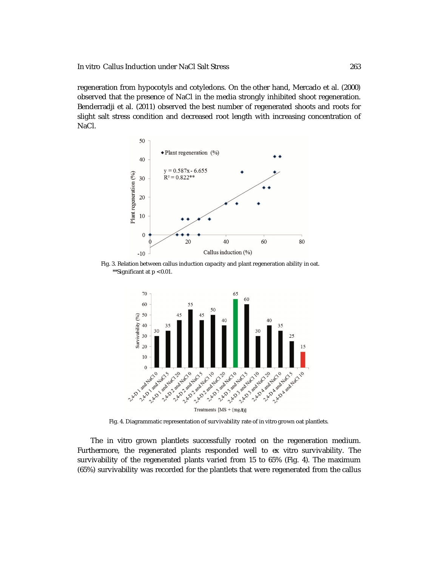regeneration from hypocotyls and cotyledons. On the other hand, Mercado et al. (2000) observed that the presence of NaCl in the media strongly inhibited shoot regeneration. Benderradji et al. (2011) observed the best number of regenerated shoots and roots for slight salt stress condition and decreased root length with increasing concentration of NaCl.



Fig. 3. Relation between callus induction capacity and plant regeneration ability in oat. \*\*Significant at p < 0.01.



Fig. 4. Diagrammatic representation of survivability rate of *in vitro* grown oat plantlets.

The *in vitro* grown plantlets successfully rooted on the regeneration medium. Furthermore, the regenerated plants responded well to *ex vitro* survivability. The survivability of the regenerated plants varied from 15 to 65% (Fig. 4). The maximum (65%) survivability was recorded for the plantlets that were regenerated from the callus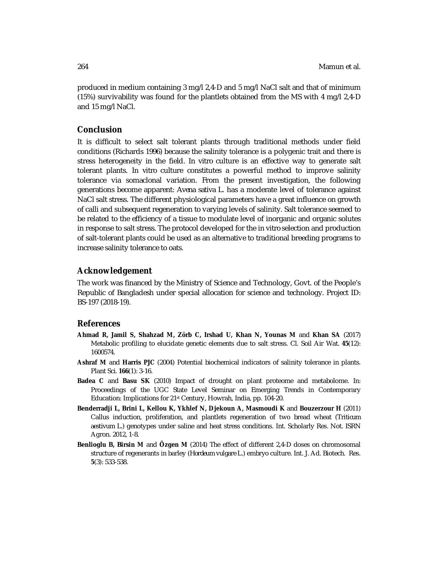produced in medium containing 3 mg/l 2,4-D and 5 mg/l NaCl salt and that of minimum (15%) survivability was found for the plantlets obtained from the MS with 4 mg/l 2,4-D and 15 mg/l NaCl.

## **Conclusion**

It is difficult to select salt tolerant plants through traditional methods under field conditions (Richards 1996) because the salinity tolerance is a polygenic trait and there is stress heterogeneity in the field. *In vitro* culture is an effective way to generate salt tolerant plants. *In vitro* culture constitutes a powerful method to improve salinity tolerance via somaclonal variation. From the present investigation, the following generations become apparent: *Avena sativa* L. has a moderate level of tolerance against NaCl salt stress. The different physiological parameters have a great influence on growth of calli and subsequent regeneration to varying levels of salinity. Salt tolerance seemed to be related to the efficiency of a tissue to modulate level of inorganic and organic solutes in response to salt stress. The protocol developed for the *in vitro* selection and production of salt-tolerant plants could be used as an alternative to traditional breeding programs to increase salinity tolerance to oats.

### **Acknowledgement**

The work was financed by the Ministry of Science and Technology, Govt. of the People's Republic of Bangladesh under special allocation for science and technology. Project ID: BS-197 (2018-19).

### **References**

- **Ahmad R, Jamil S, Shahzad M, Zörb C, Irshad U, Khan N, Younas M** and **Khan SA** (2017) Metabolic profiling to elucidate genetic elements due to salt stress. Cl. Soil Air Wat. **45**(12): 1600574.
- **Ashraf M** and **Harris PJC** (2004) Potential biochemical indicators of salinity tolerance in plants. Plant Sci. **166**(1): 3-16.
- **Badea C** and **Basu SK** (2010) Impact of drought on plant proteome and metabolome. *In:* Proceedings of the UGC State Level Seminar on Emerging Trends in Contemporary Education: Implications for 21st Century, Howrah, India, pp. 104-20.
- **Benderradji L, Brini L, Kellou K, Ykhlef N, Djekoun A, Masmoudi K** and **Bouzerzour H** (2011) Callus induction, proliferation, and plantlets regeneration of two bread wheat (*Triticum aestivum* L.) genotypes under saline and heat stress conditions. Int. Scholarly Res. Not. ISRN Agron. 2012, 1-8.
- **Benlioglu B, Birsin M** and **Özgen M** (2014) The effect of different 2,4-D doses on chromosomal structure of regenerants in barley (*Hordeum vulgare* L.) embryo culture. Int. J. Ad. Biotech. Res. **5**(3): 533-538.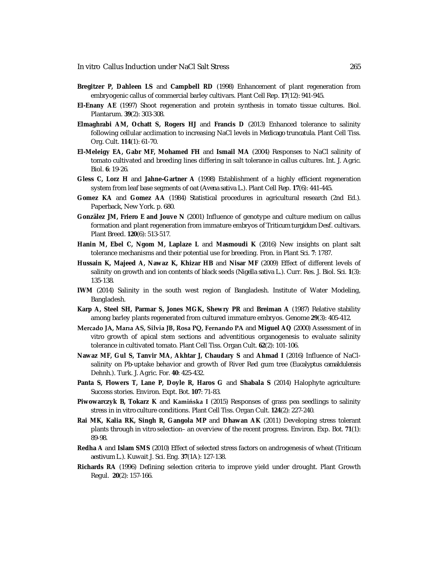- **Bregitzer P, Dahleen LS** and **Campbell RD** (1998) Enhancement of plant regeneration from embryogenic callus of commercial barley cultivars. Plant Cell Rep. **17**(12): 941-945.
- **El-Enany AE** (1997) Shoot regeneration and protein synthesis in tomato tissue cultures. Biol. Plantarum. **39**(2): 303-308.
- **Elmaghrabi AM, Ochatt S, Rogers HJ** and **Francis D** (2013) Enhanced tolerance to salinity following cellular acclimation to increasing NaCl levels in *Medicago truncatula*. Plant Cell Tiss. Org. Cult. **114**(1): 61-70.
- **El-Meleigy EA, Gabr MF, Mohamed FH** and **Ismail MA** (2004) Responses to NaCl salinity of tomato cultivated and breeding lines differing in salt tolerance in callus cultures. Int. J. Agric. Biol. **6**: 19-26.
- **Gless C, Lorz H** and **Jahne-Gartner A** (1998) Establishment of a highly efficient regeneration system from leaf base segments of oat (*Avena sativa* L.). Plant Cell Rep. **17**(6): 441-445.
- **Gomez KA** and **Gomez AA** (1984) Statistical procedures in agricultural research (2nd Ed.). Paperback, New York. p. 680.
- **Gonzälez JM, Friero E and Jouve N** (2001) Influence of genotype and culture medium on callus formation and plant regeneration from immature embryos of *Triticum turgidum* Desf. cultivars. Plant Breed. **120**(6): 513-517.
- **Hanin M, Ebel C, Ngom M, Laplaze L** and **Masmoudi K** (2016) New insights on plant salt tolerance mechanisms and their potential use for breeding. Fron. in Plant Sci. **7**: 1787.
- Hussain K, Majeed A, Nawaz K, Khizar HB and Nisar MF (2009) Effect of different levels of salinity on growth and ion contents of black seeds (*Nigella sativa* L.). Curr. Res. J. Biol. Sci. **1**(3): 135-138.
- **IWM** (2014) Salinity in the south west region of Bangladesh. Institute of Water Modeling, Bangladesh.
- **Karp A, Steel SH, Parmar S, Jones MGK, Shewry PR** and **Breiman A** (1987) Relative stability among barley plants regenerated from cultured immature embryos. Genome **29**(3): 405-412.
- **Mercado JA, Marıa AS, Silvia JB, Rosa PQ, Fernando PA** and **Miguel AQ** (2000) Assessment of *in vitro* growth of apical stem sections and adventitious organogenesis to evaluate salinity tolerance in cultivated tomato. Plant Cell Tiss. Organ Cult. **62**(2): 101-106.
- **Nawaz MF, Gul S, Tanvir MA, Akhtar J, Chaudary S** and **Ahmad I** (2016) Influence of NaClsalinity on Pb-uptake behavior and growth of River Red gum tree (*Eucalyptus camaldulensis*  Dehnh.). Turk. J. Agric. For. **40**: 425-432.
- **Panta S, Flowers T, Lane P, Doyle R, Haros G** and **Shabala S** (2014) Halophyte agriculture: Success stories. Environ. Expt. Bot. **107**: 71-83.
- **Piwowarczyk B, Tokarz K** and **Kamińska I** (2015) Responses of grass pea seedlings to salinity stress in *in vitro* culture conditions. Plant Cell Tiss. Organ Cult. **124**(2): 227-240.
- **Rai MK, Kalia RK, Singh R, Gangola MP** and **Dhawan AK** (2011) Developing stress tolerant plants through *in vitro* selection– an overview of the recent progress. Environ. Exp. Bot. **71**(1): 89-98.
- **Redha A** and **Islam SMS** (2010) Effect of selected stress factors on androgenesis of wheat (*Triticum aestivum* L.). Kuwait J. Sci. Eng. **37**(1A): 127-138.
- **Richards RA** (1996) Defining selection criteria to improve yield under drought. Plant Growth Regul. **20**(2): 157-166.